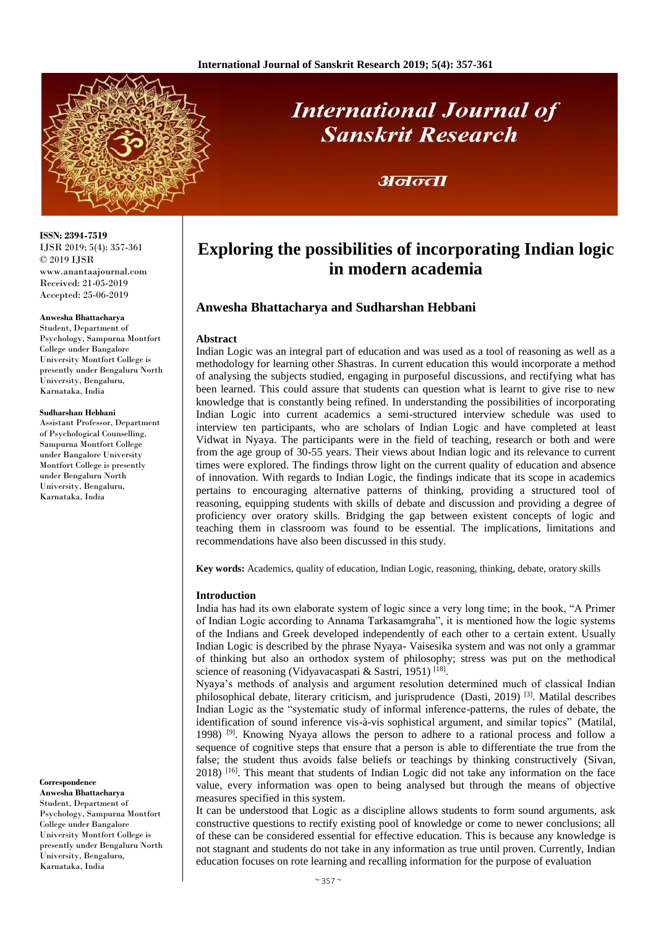

# **International Journal of Sanskrit Research**

## अनन्ता

## **Exploring the possibilities of incorporating Indian logic in modern academia**

## **Anwesha Bhattacharya and Sudharshan Hebbani**

## **Abstract**

Indian Logic was an integral part of education and was used as a tool of reasoning as well as a methodology for learning other Shastras. In current education this would incorporate a method of analysing the subjects studied, engaging in purposeful discussions, and rectifying what has been learned. This could assure that students can question what is learnt to give rise to new knowledge that is constantly being refined. In understanding the possibilities of incorporating Indian Logic into current academics a semi-structured interview schedule was used to interview ten participants, who are scholars of Indian Logic and have completed at least Vidwat in Nyaya. The participants were in the field of teaching, research or both and were from the age group of 30-55 years. Their views about Indian logic and its relevance to current times were explored. The findings throw light on the current quality of education and absence of innovation. With regards to Indian Logic, the findings indicate that its scope in academics pertains to encouraging alternative patterns of thinking, providing a structured tool of reasoning, equipping students with skills of debate and discussion and providing a degree of proficiency over oratory skills. Bridging the gap between existent concepts of logic and teaching them in classroom was found to be essential. The implications, limitations and recommendations have also been discussed in this study.

**Key words:** Academics, quality of education, Indian Logic, reasoning, thinking, debate, oratory skills

## **Introduction**

India has had its own elaborate system of logic since a very long time; in the book, "A Primer of Indian Logic according to Annama Tarkasamgraha", it is mentioned how the logic systems of the Indians and Greek developed independently of each other to a certain extent. Usually Indian Logic is described by the phrase Nyaya- Vaisesika system and was not only a grammar of thinking but also an orthodox system of philosophy; stress was put on the methodical science of reasoning (Vidyavacaspati & Sastri, 1951)<sup>[18]</sup>.

Nyaya's methods of analysis and argument resolution determined much of classical Indian philosophical debate, literary criticism, and jurisprudence (Dasti, 2019) [3]. Matilal describes Indian Logic as the "systematic study of informal inference-patterns, the rules of debate, the identification of sound inference vis-à-vis sophistical argument, and similar topics" (Matilal, 1998) <sup>[9]</sup>. Knowing Nyaya allows the person to adhere to a rational process and follow a sequence of cognitive steps that ensure that a person is able to differentiate the true from the false; the student thus avoids false beliefs or teachings by thinking constructively (Sivan,  $2018$ ) <sup>[16]</sup>. This meant that students of Indian Logic did not take any information on the face value, every information was open to being analysed but through the means of objective measures specified in this system.

It can be understood that Logic as a discipline allows students to form sound arguments, ask constructive questions to rectify existing pool of knowledge or come to newer conclusions; all of these can be considered essential for effective education. This is because any knowledge is not stagnant and students do not take in any information as true until proven. Currently, Indian education focuses on rote learning and recalling information for the purpose of evaluation

**ISSN: 2394-7519** IJSR 2019; 5(4): 357-361  $\odot$  2019 IJSR www.anantaajournal.com Received: 21-05-2019 Accepted: 25-06-2019

#### **Anwesha Bhattacharya**

Student, Department of Psychology, Sampurna Montfort College under Bangalore University Montfort College is presently under Bengaluru North University, Bengaluru, Karnataka, India

#### **Sudharshan Hebbani**

Assistant Professor, Department of Psychological Counselling, Sampurna Montfort College under Bangalore University Montfort College is presently under Bengaluru North University, Bengaluru, Karnataka, India

**Correspondence**

**Anwesha Bhattacharya** Student, Department of Psychology, Sampurna Montfort College under Bangalore University Montfort College is presently under Bengaluru North University, Bengaluru, Karnataka, India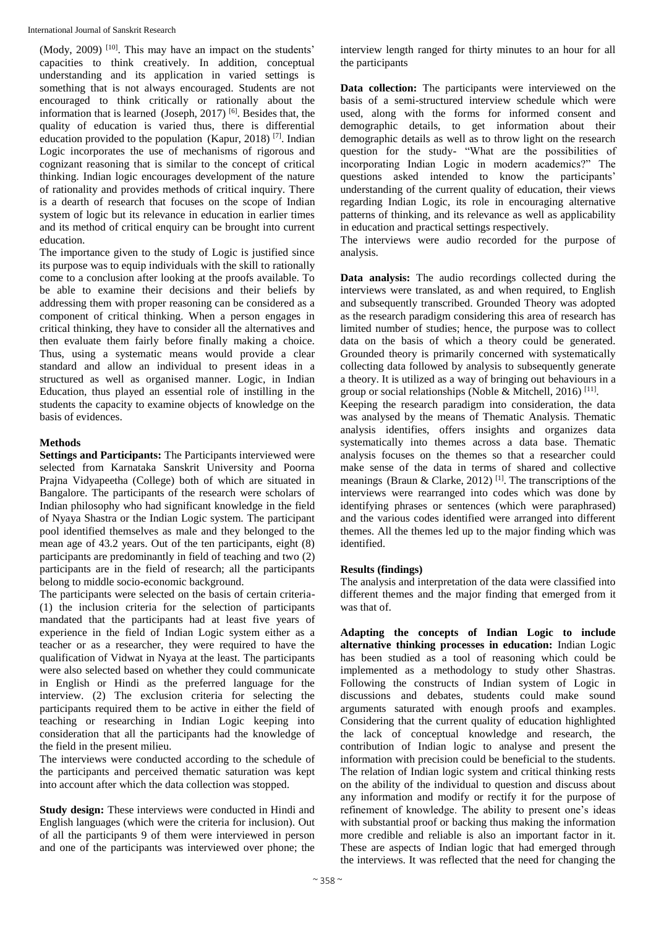(Mody, 2009)<sup>[10]</sup>. This may have an impact on the students' capacities to think creatively. In addition, conceptual understanding and its application in varied settings is something that is not always encouraged. Students are not encouraged to think critically or rationally about the information that is learned (Joseph, 2017) [6]. Besides that, the quality of education is varied thus, there is differential education provided to the population (Kapur, 2018)<sup>[7]</sup>. Indian Logic incorporates the use of mechanisms of rigorous and cognizant reasoning that is similar to the concept of critical thinking. Indian logic encourages development of the nature of rationality and provides methods of critical inquiry. There is a dearth of research that focuses on the scope of Indian system of logic but its relevance in education in earlier times and its method of critical enquiry can be brought into current education.

The importance given to the study of Logic is justified since its purpose was to equip individuals with the skill to rationally come to a conclusion after looking at the proofs available. To be able to examine their decisions and their beliefs by addressing them with proper reasoning can be considered as a component of critical thinking. When a person engages in critical thinking, they have to consider all the alternatives and then evaluate them fairly before finally making a choice. Thus, using a systematic means would provide a clear standard and allow an individual to present ideas in a structured as well as organised manner. Logic, in Indian Education, thus played an essential role of instilling in the students the capacity to examine objects of knowledge on the basis of evidences.

## **Methods**

**Settings and Participants:** The Participants interviewed were selected from Karnataka Sanskrit University and Poorna Prajna Vidyapeetha (College) both of which are situated in Bangalore. The participants of the research were scholars of Indian philosophy who had significant knowledge in the field of Nyaya Shastra or the Indian Logic system. The participant pool identified themselves as male and they belonged to the mean age of 43.2 years. Out of the ten participants, eight (8) participants are predominantly in field of teaching and two (2) participants are in the field of research; all the participants belong to middle socio-economic background.

The participants were selected on the basis of certain criteria- (1) the inclusion criteria for the selection of participants mandated that the participants had at least five years of experience in the field of Indian Logic system either as a teacher or as a researcher, they were required to have the qualification of Vidwat in Nyaya at the least. The participants were also selected based on whether they could communicate in English or Hindi as the preferred language for the interview. (2) The exclusion criteria for selecting the participants required them to be active in either the field of teaching or researching in Indian Logic keeping into consideration that all the participants had the knowledge of the field in the present milieu.

The interviews were conducted according to the schedule of the participants and perceived thematic saturation was kept into account after which the data collection was stopped.

**Study design:** These interviews were conducted in Hindi and English languages (which were the criteria for inclusion). Out of all the participants 9 of them were interviewed in person and one of the participants was interviewed over phone; the

interview length ranged for thirty minutes to an hour for all the participants

**Data collection:** The participants were interviewed on the basis of a semi-structured interview schedule which were used, along with the forms for informed consent and demographic details, to get information about their demographic details as well as to throw light on the research question for the study- "What are the possibilities of incorporating Indian Logic in modern academics?" The questions asked intended to know the participants' understanding of the current quality of education, their views regarding Indian Logic, its role in encouraging alternative patterns of thinking, and its relevance as well as applicability in education and practical settings respectively.

The interviews were audio recorded for the purpose of analysis.

**Data analysis:** The audio recordings collected during the interviews were translated, as and when required, to English and subsequently transcribed. Grounded Theory was adopted as the research paradigm considering this area of research has limited number of studies; hence, the purpose was to collect data on the basis of which a theory could be generated. Grounded theory is primarily concerned with systematically collecting data followed by analysis to subsequently generate a theory. It is utilized as a way of bringing out behaviours in a group or social relationships (Noble & Mitchell, 2016)<sup>[11]</sup>.

Keeping the research paradigm into consideration, the data was analysed by the means of Thematic Analysis. Thematic analysis identifies, offers insights and organizes data systematically into themes across a data base. Thematic analysis focuses on the themes so that a researcher could make sense of the data in terms of shared and collective meanings (Braun & Clarke, 2012)<sup>[1]</sup>. The transcriptions of the interviews were rearranged into codes which was done by identifying phrases or sentences (which were paraphrased) and the various codes identified were arranged into different themes. All the themes led up to the major finding which was identified.

## **Results (findings)**

The analysis and interpretation of the data were classified into different themes and the major finding that emerged from it was that of.

**Adapting the concepts of Indian Logic to include alternative thinking processes in education:** Indian Logic has been studied as a tool of reasoning which could be implemented as a methodology to study other Shastras. Following the constructs of Indian system of Logic in discussions and debates, students could make sound arguments saturated with enough proofs and examples. Considering that the current quality of education highlighted the lack of conceptual knowledge and research, the contribution of Indian logic to analyse and present the information with precision could be beneficial to the students. The relation of Indian logic system and critical thinking rests on the ability of the individual to question and discuss about any information and modify or rectify it for the purpose of refinement of knowledge. The ability to present one's ideas with substantial proof or backing thus making the information more credible and reliable is also an important factor in it. These are aspects of Indian logic that had emerged through the interviews. It was reflected that the need for changing the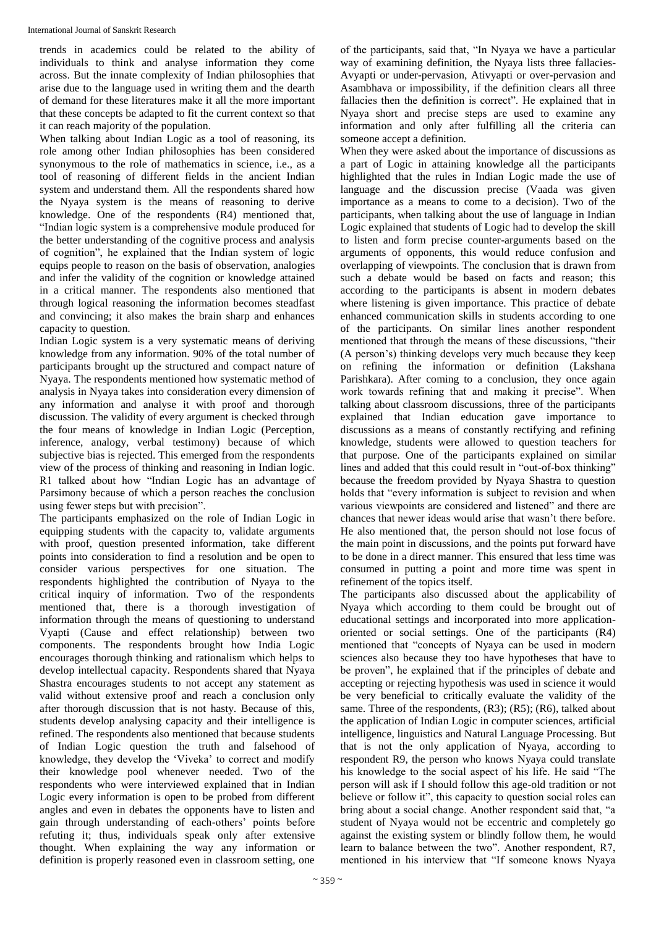trends in academics could be related to the ability of individuals to think and analyse information they come across. But the innate complexity of Indian philosophies that arise due to the language used in writing them and the dearth of demand for these literatures make it all the more important that these concepts be adapted to fit the current context so that it can reach majority of the population.

When talking about Indian Logic as a tool of reasoning, its role among other Indian philosophies has been considered synonymous to the role of mathematics in science, i.e., as a tool of reasoning of different fields in the ancient Indian system and understand them. All the respondents shared how the Nyaya system is the means of reasoning to derive knowledge. One of the respondents (R4) mentioned that, "Indian logic system is a comprehensive module produced for the better understanding of the cognitive process and analysis of cognition", he explained that the Indian system of logic equips people to reason on the basis of observation, analogies and infer the validity of the cognition or knowledge attained in a critical manner. The respondents also mentioned that through logical reasoning the information becomes steadfast and convincing; it also makes the brain sharp and enhances capacity to question.

Indian Logic system is a very systematic means of deriving knowledge from any information. 90% of the total number of participants brought up the structured and compact nature of Nyaya. The respondents mentioned how systematic method of analysis in Nyaya takes into consideration every dimension of any information and analyse it with proof and thorough discussion. The validity of every argument is checked through the four means of knowledge in Indian Logic (Perception, inference, analogy, verbal testimony) because of which subjective bias is rejected. This emerged from the respondents view of the process of thinking and reasoning in Indian logic. R1 talked about how "Indian Logic has an advantage of Parsimony because of which a person reaches the conclusion using fewer steps but with precision".

The participants emphasized on the role of Indian Logic in equipping students with the capacity to, validate arguments with proof, question presented information, take different points into consideration to find a resolution and be open to consider various perspectives for one situation. The respondents highlighted the contribution of Nyaya to the critical inquiry of information. Two of the respondents mentioned that, there is a thorough investigation of information through the means of questioning to understand Vyapti (Cause and effect relationship) between two components. The respondents brought how India Logic encourages thorough thinking and rationalism which helps to develop intellectual capacity. Respondents shared that Nyaya Shastra encourages students to not accept any statement as valid without extensive proof and reach a conclusion only after thorough discussion that is not hasty. Because of this, students develop analysing capacity and their intelligence is refined. The respondents also mentioned that because students of Indian Logic question the truth and falsehood of knowledge, they develop the 'Viveka' to correct and modify their knowledge pool whenever needed. Two of the respondents who were interviewed explained that in Indian Logic every information is open to be probed from different angles and even in debates the opponents have to listen and gain through understanding of each-others' points before refuting it; thus, individuals speak only after extensive thought. When explaining the way any information or definition is properly reasoned even in classroom setting, one

of the participants, said that, "In Nyaya we have a particular way of examining definition, the Nyaya lists three fallacies-Avyapti or under-pervasion, Ativyapti or over-pervasion and Asambhava or impossibility, if the definition clears all three fallacies then the definition is correct". He explained that in Nyaya short and precise steps are used to examine any information and only after fulfilling all the criteria can someone accept a definition.

When they were asked about the importance of discussions as a part of Logic in attaining knowledge all the participants highlighted that the rules in Indian Logic made the use of language and the discussion precise (Vaada was given importance as a means to come to a decision). Two of the participants, when talking about the use of language in Indian Logic explained that students of Logic had to develop the skill to listen and form precise counter-arguments based on the arguments of opponents, this would reduce confusion and overlapping of viewpoints. The conclusion that is drawn from such a debate would be based on facts and reason; this according to the participants is absent in modern debates where listening is given importance. This practice of debate enhanced communication skills in students according to one of the participants. On similar lines another respondent mentioned that through the means of these discussions, "their (A person's) thinking develops very much because they keep on refining the information or definition (Lakshana Parishkara). After coming to a conclusion, they once again work towards refining that and making it precise". When talking about classroom discussions, three of the participants explained that Indian education gave importance to discussions as a means of constantly rectifying and refining knowledge, students were allowed to question teachers for that purpose. One of the participants explained on similar lines and added that this could result in "out-of-box thinking" because the freedom provided by Nyaya Shastra to question holds that "every information is subject to revision and when various viewpoints are considered and listened" and there are chances that newer ideas would arise that wasn't there before. He also mentioned that, the person should not lose focus of the main point in discussions, and the points put forward have to be done in a direct manner. This ensured that less time was consumed in putting a point and more time was spent in refinement of the topics itself.

The participants also discussed about the applicability of Nyaya which according to them could be brought out of educational settings and incorporated into more applicationoriented or social settings. One of the participants (R4) mentioned that "concepts of Nyaya can be used in modern sciences also because they too have hypotheses that have to be proven", he explained that if the principles of debate and accepting or rejecting hypothesis was used in science it would be very beneficial to critically evaluate the validity of the same. Three of the respondents, (R3); (R5); (R6), talked about the application of Indian Logic in computer sciences, artificial intelligence, linguistics and Natural Language Processing. But that is not the only application of Nyaya, according to respondent R9, the person who knows Nyaya could translate his knowledge to the social aspect of his life. He said "The person will ask if I should follow this age-old tradition or not believe or follow it", this capacity to question social roles can bring about a social change. Another respondent said that, "a student of Nyaya would not be eccentric and completely go against the existing system or blindly follow them, he would learn to balance between the two". Another respondent, R7, mentioned in his interview that "If someone knows Nyaya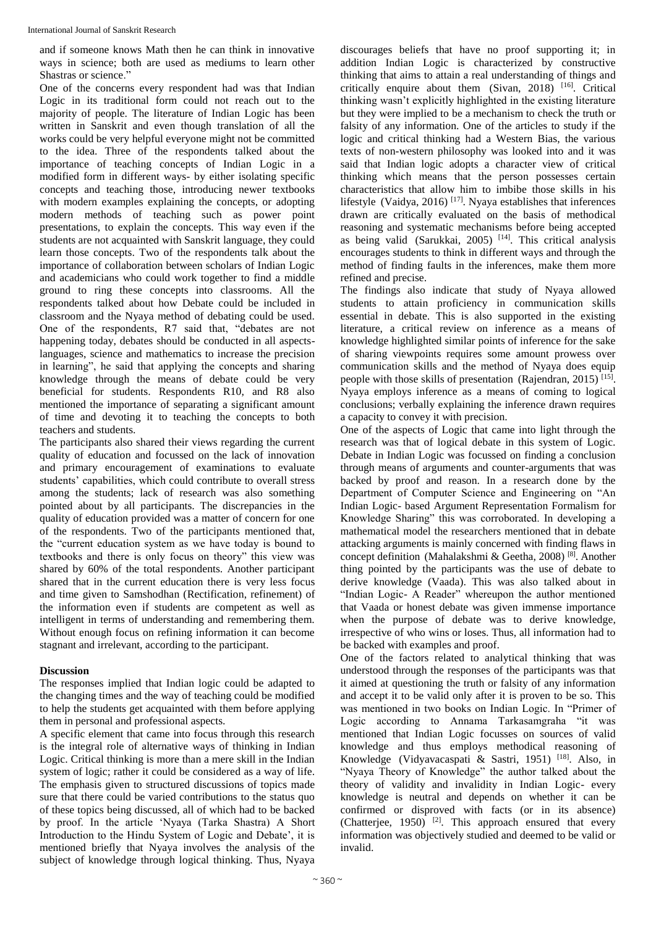and if someone knows Math then he can think in innovative ways in science; both are used as mediums to learn other Shastras or science."

One of the concerns every respondent had was that Indian Logic in its traditional form could not reach out to the majority of people. The literature of Indian Logic has been written in Sanskrit and even though translation of all the works could be very helpful everyone might not be committed to the idea. Three of the respondents talked about the importance of teaching concepts of Indian Logic in a modified form in different ways- by either isolating specific concepts and teaching those, introducing newer textbooks with modern examples explaining the concepts, or adopting modern methods of teaching such as power point presentations, to explain the concepts. This way even if the students are not acquainted with Sanskrit language, they could learn those concepts. Two of the respondents talk about the importance of collaboration between scholars of Indian Logic and academicians who could work together to find a middle ground to ring these concepts into classrooms. All the respondents talked about how Debate could be included in classroom and the Nyaya method of debating could be used. One of the respondents, R7 said that, "debates are not happening today, debates should be conducted in all aspectslanguages, science and mathematics to increase the precision in learning", he said that applying the concepts and sharing knowledge through the means of debate could be very beneficial for students. Respondents R10, and R8 also mentioned the importance of separating a significant amount of time and devoting it to teaching the concepts to both teachers and students.

The participants also shared their views regarding the current quality of education and focussed on the lack of innovation and primary encouragement of examinations to evaluate students' capabilities, which could contribute to overall stress among the students; lack of research was also something pointed about by all participants. The discrepancies in the quality of education provided was a matter of concern for one of the respondents. Two of the participants mentioned that, the "current education system as we have today is bound to textbooks and there is only focus on theory" this view was shared by 60% of the total respondents. Another participant shared that in the current education there is very less focus and time given to Samshodhan (Rectification, refinement) of the information even if students are competent as well as intelligent in terms of understanding and remembering them. Without enough focus on refining information it can become stagnant and irrelevant, according to the participant.

## **Discussion**

The responses implied that Indian logic could be adapted to the changing times and the way of teaching could be modified to help the students get acquainted with them before applying them in personal and professional aspects.

A specific element that came into focus through this research is the integral role of alternative ways of thinking in Indian Logic. Critical thinking is more than a mere skill in the Indian system of logic; rather it could be considered as a way of life. The emphasis given to structured discussions of topics made sure that there could be varied contributions to the status quo of these topics being discussed, all of which had to be backed by proof. In the article 'Nyaya (Tarka Shastra) A Short Introduction to the Hindu System of Logic and Debate', it is mentioned briefly that Nyaya involves the analysis of the subject of knowledge through logical thinking. Thus, Nyaya

discourages beliefs that have no proof supporting it; in addition Indian Logic is characterized by constructive thinking that aims to attain a real understanding of things and critically enquire about them (Sivan, 2018) [16]. Critical thinking wasn't explicitly highlighted in the existing literature but they were implied to be a mechanism to check the truth or falsity of any information. One of the articles to study if the logic and critical thinking had a Western Bias, the various texts of non-western philosophy was looked into and it was said that Indian logic adopts a character view of critical thinking which means that the person possesses certain characteristics that allow him to imbibe those skills in his lifestyle (Vaidya, 2016) [17]. Nyaya establishes that inferences drawn are critically evaluated on the basis of methodical reasoning and systematic mechanisms before being accepted as being valid (Sarukkai, 2005)  $[14]$ . This critical analysis encourages students to think in different ways and through the method of finding faults in the inferences, make them more refined and precise.

The findings also indicate that study of Nyaya allowed students to attain proficiency in communication skills essential in debate. This is also supported in the existing literature, a critical review on inference as a means of knowledge highlighted similar points of inference for the sake of sharing viewpoints requires some amount prowess over communication skills and the method of Nyaya does equip people with those skills of presentation (Rajendran, 2015)<sup>[15]</sup>. Nyaya employs inference as a means of coming to logical conclusions; verbally explaining the inference drawn requires a capacity to convey it with precision.

One of the aspects of Logic that came into light through the research was that of logical debate in this system of Logic. Debate in Indian Logic was focussed on finding a conclusion through means of arguments and counter-arguments that was backed by proof and reason. In a research done by the Department of Computer Science and Engineering on "An Indian Logic- based Argument Representation Formalism for Knowledge Sharing" this was corroborated. In developing a mathematical model the researchers mentioned that in debate attacking arguments is mainly concerned with finding flaws in concept definition (Mahalakshmi & Geetha, 2008) [8]. Another thing pointed by the participants was the use of debate to derive knowledge (Vaada). This was also talked about in "Indian Logic- A Reader" whereupon the author mentioned that Vaada or honest debate was given immense importance when the purpose of debate was to derive knowledge, irrespective of who wins or loses. Thus, all information had to be backed with examples and proof.

One of the factors related to analytical thinking that was understood through the responses of the participants was that it aimed at questioning the truth or falsity of any information and accept it to be valid only after it is proven to be so. This was mentioned in two books on Indian Logic. In "Primer of Logic according to Annama Tarkasamgraha "it was mentioned that Indian Logic focusses on sources of valid knowledge and thus employs methodical reasoning of Knowledge (Vidyavacaspati & Sastri, 1951) [18]. Also, in "Nyaya Theory of Knowledge" the author talked about the theory of validity and invalidity in Indian Logic- every knowledge is neutral and depends on whether it can be confirmed or disproved with facts (or in its absence) (Chatterjee, 1950)<sup>[2]</sup>. This approach ensured that every information was objectively studied and deemed to be valid or invalid.